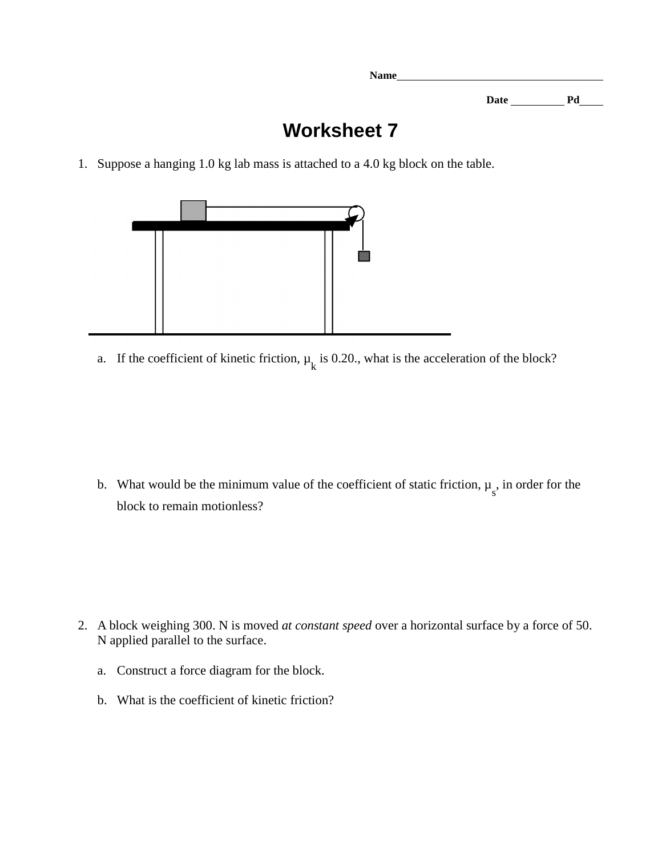**Date Pd** 

## **Worksheet 7**

**Name** 

1. Suppose a hanging 1.0 kg lab mass is attached to a 4.0 kg block on the table.



a. If the coefficient of kinetic friction,  $\mu_k$  is 0.20., what is the acceleration of the block?

b. What would be the minimum value of the coefficient of static friction,  $\mu_s$ , in order for the block to remain motionless?

- 2. A block weighing 300. N is moved *at constant speed* over a horizontal surface by a force of 50. N applied parallel to the surface.
	- a. Construct a force diagram for the block.
	- b. What is the coefficient of kinetic friction?